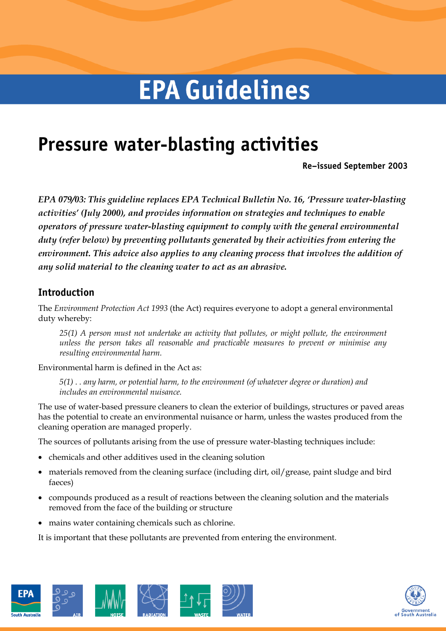# **EPA Guidelines**

# **Pressure water-blasting activities**

**Re–issued September 2003** 

*EPA 079/03: This guideline replaces EPA Technical Bulletin No. 16, 'Pressure water-blasting activities' (July 2000), and provides information on strategies and techniques to enable operators of pressure water-blasting equipment to comply with the general environmental duty (refer below) by preventing pollutants generated by their activities from entering the environment. This advice also applies to any cleaning process that involves the addition of any solid material to the cleaning water to act as an abrasive.* 

# **Introduction**

The *Environment Protection Act 1993* (the Act) requires everyone to adopt a general environmental duty whereby:

*25(1) A person must not undertake an activity that pollutes, or might pollute, the environment unless the person takes all reasonable and practicable measures to prevent or minimise any resulting environmental harm.* 

Environmental harm is defined in the Act as:

*5(1) . . any harm, or potential harm, to the environment (of whatever degree or duration) and includes an environmental nuisance.* 

The use of water-based pressure cleaners to clean the exterior of buildings, structures or paved areas has the potential to create an environmental nuisance or harm, unless the wastes produced from the cleaning operation are managed properly.

The sources of pollutants arising from the use of pressure water-blasting techniques include:

- · chemicals and other additives used in the cleaning solution
- materials removed from the cleaning surface (including dirt, oil/grease, paint sludge and bird faeces)
- · compounds produced as a result of reactions between the cleaning solution and the materials removed from the face of the building or structure
- · mains water containing chemicals such as chlorine.

It is important that these pollutants are prevented from entering the environment.



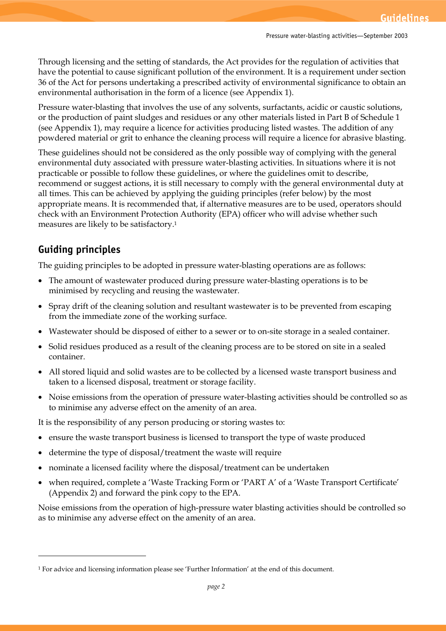Through licensing and the setting of standards, the Act provides for the regulation of activities that have the potential to cause significant pollution of the environment. It is a requirement under section 36 of the Act for persons undertaking a prescribed activity of environmental significance to obtain an environmental authorisation in the form of a licence (see Appendix 1).

Pressure water-blasting that involves the use of any solvents, surfactants, acidic or caustic solutions, or the production of paint sludges and residues or any other materials listed in Part B of Schedule 1 (see Appendix 1), may require a licence for activities producing listed wastes. The addition of any powdered material or grit to enhance the cleaning process will require a licence for abrasive blasting.

These guidelines should not be considered as the only possible way of complying with the general environmental duty associated with pressure water-blasting activities. In situations where it is not practicable or possible to follow these guidelines, or where the guidelines omit to describe, recommend or suggest actions, it is still necessary to comply with the general environmental duty at all times. This can be achieved by applying the guiding principles (refer below) by the most appropriate means. It is recommended that, if alternative measures are to be used, operators should check with an Environment Protection Authority (EPA) officer who will advise whether such measures are likely to be satisfactory.1

# **Guiding principles**

The guiding principles to be adopted in pressure water-blasting operations are as follows:

- · The amount of wastewater produced during pressure water-blasting operations is to be minimised by recycling and reusing the wastewater.
- · Spray drift of the cleaning solution and resultant wastewater is to be prevented from escaping from the immediate zone of the working surface.
- Wastewater should be disposed of either to a sewer or to on-site storage in a sealed container.
- · Solid residues produced as a result of the cleaning process are to be stored on site in a sealed container.
- · All stored liquid and solid wastes are to be collected by a licensed waste transport business and taken to a licensed disposal, treatment or storage facility.
- · Noise emissions from the operation of pressure water-blasting activities should be controlled so as to minimise any adverse effect on the amenity of an area.

It is the responsibility of any person producing or storing wastes to:

- ensure the waste transport business is licensed to transport the type of waste produced
- determine the type of disposal/treatment the waste will require
- · nominate a licensed facility where the disposal/treatment can be undertaken
- · when required, complete a 'Waste Tracking Form or 'PART A' of a 'Waste Transport Certificate' (Appendix 2) and forward the pink copy to the EPA.

Noise emissions from the operation of high-pressure water blasting activities should be controlled so as to minimise any adverse effect on the amenity of an area.

<sup>1</sup> For advice and licensing information please see 'Further Information' at the end of this document.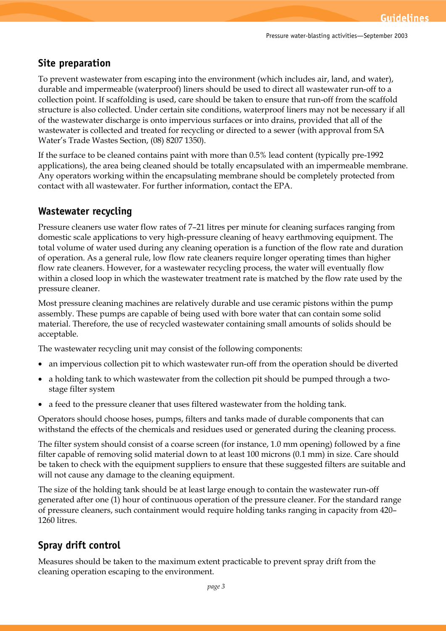# **Site preparation**

To prevent wastewater from escaping into the environment (which includes air, land, and water), durable and impermeable (waterproof) liners should be used to direct all wastewater run-off to a collection point. If scaffolding is used, care should be taken to ensure that run-off from the scaffold structure is also collected. Under certain site conditions, waterproof liners may not be necessary if all of the wastewater discharge is onto impervious surfaces or into drains, provided that all of the wastewater is collected and treated for recycling or directed to a sewer (with approval from SA Water's Trade Wastes Section, (08) 8207 1350).

If the surface to be cleaned contains paint with more than 0.5% lead content (typically pre-1992 applications), the area being cleaned should be totally encapsulated with an impermeable membrane. Any operators working within the encapsulating membrane should be completely protected from contact with all wastewater. For further information, contact the EPA.

## **Wastewater recycling**

Pressure cleaners use water flow rates of 7–21 litres per minute for cleaning surfaces ranging from domestic scale applications to very high-pressure cleaning of heavy earthmoving equipment. The total volume of water used during any cleaning operation is a function of the flow rate and duration of operation. As a general rule, low flow rate cleaners require longer operating times than higher flow rate cleaners. However, for a wastewater recycling process, the water will eventually flow within a closed loop in which the wastewater treatment rate is matched by the flow rate used by the pressure cleaner.

Most pressure cleaning machines are relatively durable and use ceramic pistons within the pump assembly. These pumps are capable of being used with bore water that can contain some solid material. Therefore, the use of recycled wastewater containing small amounts of solids should be acceptable.

The wastewater recycling unit may consist of the following components:

- · an impervious collection pit to which wastewater run-off from the operation should be diverted
- a holding tank to which wastewater from the collection pit should be pumped through a twostage filter system
- · a feed to the pressure cleaner that uses filtered wastewater from the holding tank.

Operators should choose hoses, pumps, filters and tanks made of durable components that can withstand the effects of the chemicals and residues used or generated during the cleaning process.

The filter system should consist of a coarse screen (for instance, 1.0 mm opening) followed by a fine filter capable of removing solid material down to at least 100 microns (0.1 mm) in size. Care should be taken to check with the equipment suppliers to ensure that these suggested filters are suitable and will not cause any damage to the cleaning equipment.

The size of the holding tank should be at least large enough to contain the wastewater run-off generated after one (1) hour of continuous operation of the pressure cleaner. For the standard range of pressure cleaners, such containment would require holding tanks ranging in capacity from 420– 1260 litres.

# **Spray drift control**

Measures should be taken to the maximum extent practicable to prevent spray drift from the cleaning operation escaping to the environment.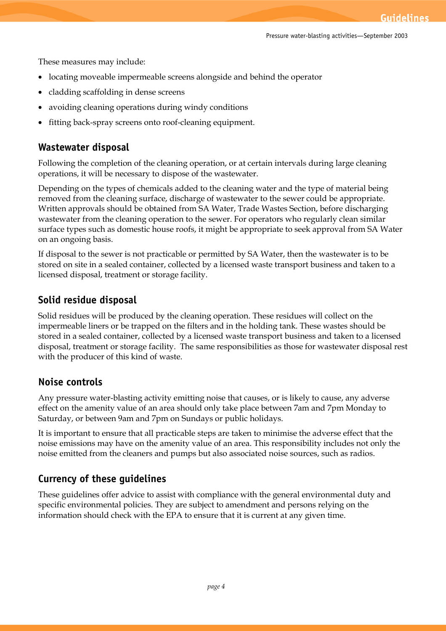These measures may include:

- locating moveable impermeable screens alongside and behind the operator
- · cladding scaffolding in dense screens
- avoiding cleaning operations during windy conditions
- fitting back-spray screens onto roof-cleaning equipment.

#### **Wastewater disposal**

Following the completion of the cleaning operation, or at certain intervals during large cleaning operations, it will be necessary to dispose of the wastewater.

Depending on the types of chemicals added to the cleaning water and the type of material being removed from the cleaning surface, discharge of wastewater to the sewer could be appropriate. Written approvals should be obtained from SA Water, Trade Wastes Section, before discharging wastewater from the cleaning operation to the sewer. For operators who regularly clean similar surface types such as domestic house roofs, it might be appropriate to seek approval from SA Water on an ongoing basis.

If disposal to the sewer is not practicable or permitted by SA Water, then the wastewater is to be stored on site in a sealed container, collected by a licensed waste transport business and taken to a licensed disposal, treatment or storage facility.

#### **Solid residue disposal**

Solid residues will be produced by the cleaning operation. These residues will collect on the impermeable liners or be trapped on the filters and in the holding tank. These wastes should be stored in a sealed container, collected by a licensed waste transport business and taken to a licensed disposal, treatment or storage facility. The same responsibilities as those for wastewater disposal rest with the producer of this kind of waste.

#### **Noise controls**

Any pressure water-blasting activity emitting noise that causes, or is likely to cause, any adverse effect on the amenity value of an area should only take place between 7am and 7pm Monday to Saturday, or between 9am and 7pm on Sundays or public holidays.

It is important to ensure that all practicable steps are taken to minimise the adverse effect that the noise emissions may have on the amenity value of an area. This responsibility includes not only the noise emitted from the cleaners and pumps but also associated noise sources, such as radios.

#### **Currency of these guidelines**

These guidelines offer advice to assist with compliance with the general environmental duty and specific environmental policies. They are subject to amendment and persons relying on the information should check with the EPA to ensure that it is current at any given time.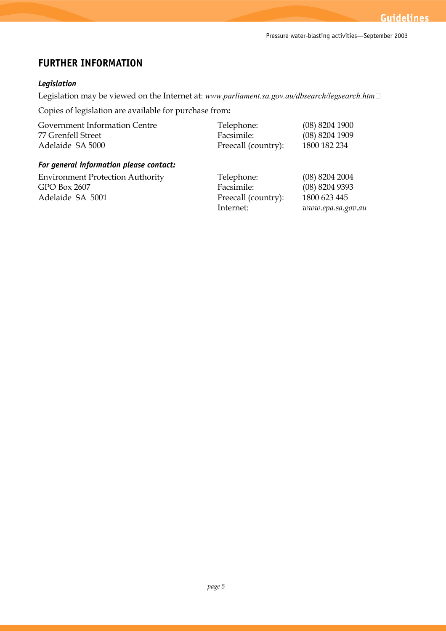# **FURTHER INFORMATION**

#### *Legislation*

Legislation may be viewed on the Internet at: *www.parliament.sa.gov.au/dbsearch/legsearch.htm* 

Copies of legislation are available for purchase from**:** 

| Government Information Centre           | Telephone:          | $(08)$ 8204 1900  |
|-----------------------------------------|---------------------|-------------------|
| 77 Grenfell Street                      | Facsimile:          | (08) 8204 1909    |
| Adelaide SA 5000                        | Freecall (country): | 1800 182 234      |
| For general information please contact: |                     |                   |
| <b>Environment Protection Authority</b> | Telephone:          | $(08)$ 8204 2004  |
| GPO Box 2607                            | Facsimile:          | (08) 8204 9393    |
| Adelaide SA 5001                        | Freecall (country): | 1800 623 445      |
|                                         | Internet:           | www.epa.sa.gov.au |
|                                         |                     |                   |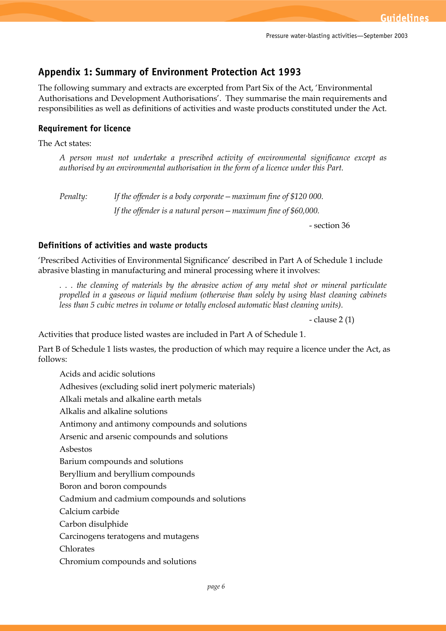# **Appendix 1: Summary of Environment Protection Act 1993**

The following summary and extracts are excerpted from Part Six of the Act, 'Environmental Authorisations and Development Authorisations'. They summarise the main requirements and responsibilities as well as definitions of activities and waste products constituted under the Act.

#### **Requirement for licence**

The Act states:

*A person must not undertake a prescribed activity of environmental significance except as authorised by an environmental authorisation in the form of a licence under this Part.* 

*Penalty: If the offender is a body corporate—maximum fine of \$120 000.* 

*If the offender is a natural person—maximum fine of \$60,000.* 

- section 36

#### **Definitions of activities and waste products**

'Prescribed Activities of Environmental Significance' described in Part A of Schedule 1 include abrasive blasting in manufacturing and mineral processing where it involves:

*. . . the cleaning of materials by the abrasive action of any metal shot or mineral particulate propelled in a gaseous or liquid medium (otherwise than solely by using blast cleaning cabinets less than 5 cubic metres in volume or totally enclosed automatic blast cleaning units).* 

- clause 2 (1)

Activities that produce listed wastes are included in Part A of Schedule 1.

Part B of Schedule 1 lists wastes, the production of which may require a licence under the Act, as follows:

Acids and acidic solutions

Adhesives (excluding solid inert polymeric materials)

Alkali metals and alkaline earth metals

Alkalis and alkaline solutions

Antimony and antimony compounds and solutions

Arsenic and arsenic compounds and solutions

Asbestos

Barium compounds and solutions

Beryllium and beryllium compounds

Boron and boron compounds

Cadmium and cadmium compounds and solutions

Calcium carbide

Carbon disulphide

Carcinogens teratogens and mutagens

Chlorates

Chromium compounds and solutions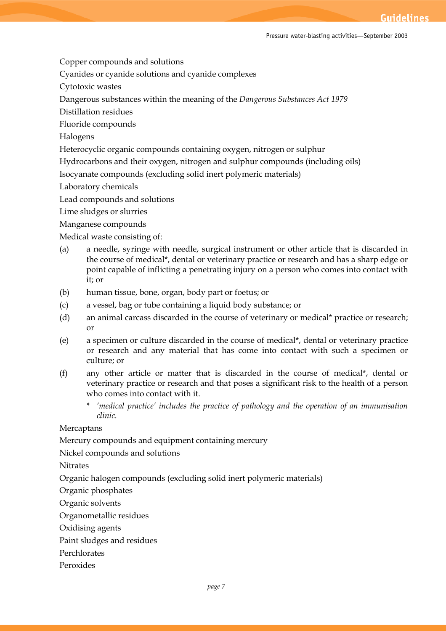Copper compounds and solutions

Cyanides or cyanide solutions and cyanide complexes

Cytotoxic wastes

Dangerous substances within the meaning of the *Dangerous Substances Act 1979* 

Distillation residues

Fluoride compounds

Halogens

Heterocyclic organic compounds containing oxygen, nitrogen or sulphur

Hydrocarbons and their oxygen, nitrogen and sulphur compounds (including oils)

Isocyanate compounds (excluding solid inert polymeric materials)

Laboratory chemicals

Lead compounds and solutions

Lime sludges or slurries

Manganese compounds

Medical waste consisting of:

- (a) a needle, syringe with needle, surgical instrument or other article that is discarded in the course of medical\*, dental or veterinary practice or research and has a sharp edge or point capable of inflicting a penetrating injury on a person who comes into contact with it; or
- (b) human tissue, bone, organ, body part or foetus; or
- (c) a vessel, bag or tube containing a liquid body substance; or
- (d) an animal carcass discarded in the course of veterinary or medical\* practice or research; or
- (e) a specimen or culture discarded in the course of medical\*, dental or veterinary practice or research and any material that has come into contact with such a specimen or culture; or
- (f) any other article or matter that is discarded in the course of medical\*, dental or veterinary practice or research and that poses a significant risk to the health of a person who comes into contact with it.
	- *\* 'medical practice' includes the practice of pathology and the operation of an immunisation clinic.*

**Mercaptans** 

Mercury compounds and equipment containing mercury

Nickel compounds and solutions

Nitrates

Organic halogen compounds (excluding solid inert polymeric materials)

Organic phosphates

Organic solvents

Organometallic residues

Oxidising agents

Paint sludges and residues

Perchlorates

Peroxides